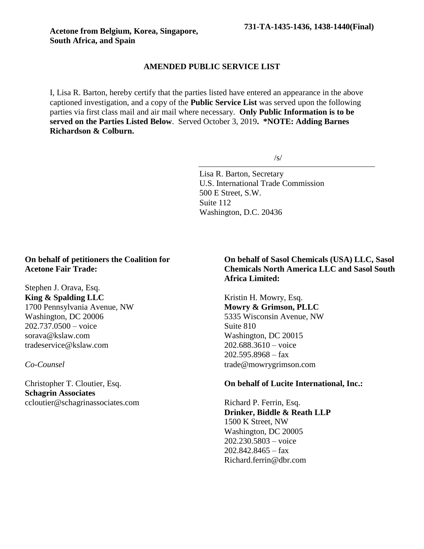### **AMENDED PUBLIC SERVICE LIST**

I, Lisa R. Barton, hereby certify that the parties listed have entered an appearance in the above captioned investigation, and a copy of the **Public Service List** was served upon the following parties via first class mail and air mail where necessary. **Only Public Information is to be served on the Parties Listed Below**. Served October 3, 2019**. \*NOTE: Adding Barnes Richardson & Colburn.**

 $\sqrt{s}$ 

Lisa R. Barton, Secretary U.S. International Trade Commission 500 E Street, S.W. Suite 112 Washington, D.C. 20436

## **On behalf of petitioners the Coalition for Acetone Fair Trade:**

Stephen J. Orava, Esq. **King & Spalding LLC** 1700 Pennsylvania Avenue, NW Washington, DC 20006 202.737.0500 – voice sorava@kslaw.com tradeservice@kslaw.com

*Co-Counsel*

Christopher T. Cloutier, Esq. **Schagrin Associates** ccloutier@schagrinassociates.com

# **On behalf of Sasol Chemicals (USA) LLC, Sasol Chemicals North America LLC and Sasol South Africa Limited:**

Kristin H. Mowry, Esq. **Mowry & Grimson, PLLC** 5335 Wisconsin Avenue, NW Suite 810 Washington, DC 20015 202.688.3610 – voice  $202.595.8968 - fax$ trade@mowrygrimson.com

## **On behalf of Lucite International, Inc.:**

Richard P. Ferrin, Esq. **Drinker, Biddle & Reath LLP** 1500 K Street, NW Washington, DC 20005 202.230.5803 – voice  $202.842.8465 - fax$ Richard.ferrin@dbr.com